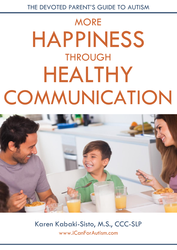# **MORE** HAPPINESS **THROUGH** HEALTHY **COMMUNICATION**



Karen Kabaki-Sisto, M.S., CCC-SLP [www.iCanForAutism.com](http://www.icanforautism.com/)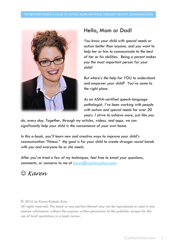

# Hello, Mom or Dad!

*You know your child with special needs or autism better than anyone, and you want to help her or him to communicate to the best of her or his abilities. Being a parent makes you the most important person for your child!*

*But where's the help for YOU to understand and empower your child? You've come to the right place.*

*As an ASHA-certified speech-language pathologist, I've been working with people with autism and special needs for over 20 years. I strive to achieve more, just like you* 

*do, every day. Together, through my articles, videos, and apps, we can significantly help your child in the convenience of your own home.*

*In this e-book, you'll learn new and creative ways to improve your child's communication "fitness." My goal is for your child to create stronger social bonds with you and everyone he or she meets.*

*After you've tried a few of my techniques, feel free to email your questions, comments, or concerns to me at [karen@icanforautism.com.](mailto:karen@icanforautism.com)* 

*Karen*

#### *© 2016 by Karen Kabaki-Sisto*

*All rights reserved. This book or any portion thereof may not be reproduced or used in any manner whatsoever without the express written permission of the publisher except for the use of brief quotations in a book review.*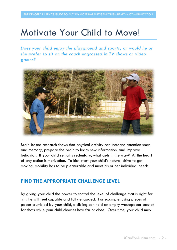# Motivate Your Child to Move!

*Does your child enjoy the playground and sports, or would he or she prefer to sit on the couch engrossed in TV shows or video games?* 



Brain-based research shows that physical activity can increase attention span and memory, prepare the brain to learn new information, and improve behavior. If your child remains sedentary, what gets in the way? At the heart of any action is motivation. To kick-start your child's natural drive to get moving, mobility has to be pleasurable and meet his or her individual needs.

# **FIND THE APPROPRIATE CHALLENGE LEVEL**

By giving your child the power to control the level of challenge that is right for him, he will feel capable and fully engaged. For example, using pieces of paper crumbled by your child, a sibling can hold an empty wastepaper basket for shots while your child chooses how far or close. Over time, your child may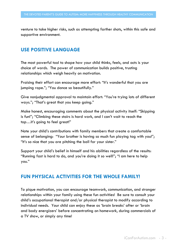venture to take higher risks, such as attempting farther shots, within this safe and supportive environment.

# **USE POSITIVE LANGUAGE**

The most powerful tool to shape how your child thinks, feels, and acts is your choice of words. The power of communication builds positive, trusting relationships which weigh heavily on motivation.

Praising their effort can encourage more effort: "It's wonderful that you are jumping rope."; "You dance so beautifully."

Give nonjudgmental approval to maintain effort: "You're trying lots of different ways."; "That's great that you keep going."

Make honest, encouraging comments about the physical activity itself: "Skipping is fun!"; "Climbing these stairs is hard work, and I can't wait to reach the top…it's going to feel great!"

Note your child's contributions with family members that create a comfortable sense of belonging: "Your brother is having so much fun playing tag with you!"; "It's so nice that you are pitching the ball for your sister."

Support your child's belief in himself and his abilities regardless of the results: "Running fast is hard to do, and you're doing it so well!"; "I am here to help you."

### **FUN PHYSICAL ACTIVITIES FOR THE WHOLE FAMILY!**

To pique motivation, you can encourage teamwork, communication, and stronger relationships within your family using these fun activities! Be sure to consult your child's occupational therapist and/or physical therapist to modify according to individual needs. Your child can enjoy these as 'brain breaks' after or 'brain and body energizers' before concentrating on homework, during commercials of a TV show, or simply any time!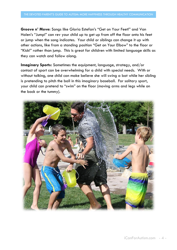**Groove n' Move:** Songs like Gloria Estefan's "Get on Your Feet!" and Van Halen's "Jump!" can rev your child up to get up from off the floor onto his feet or jump when the song indicates. Your child or siblings can change it up with other actions, like from a standing position "Get on Your Elbow" to the floor or "Kick!" rather than jump. This is great for children with limited language skills as they can watch and follow along.

**Imaginary Sports:** Sometimes the equipment, language, strategy, and/or contact of sport can be overwhelming for a child with special needs. With or without talking, one child can make believe she will swing a bat while her sibling is pretending to pitch the ball in this imaginary baseball. For solitary sport, your child can pretend to "swim" on the floor (moving arms and legs while on the back or the tummy).

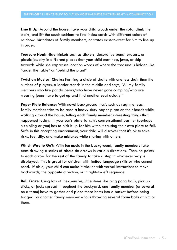**Line It Up:** Around the house, have your child crouch under the sofa, climb the stairs, and lift the couch cushions to find index cards with different colors of rainbow, birthdates of family members, or states east-to-west for him to line up in order.

**Treasure Hunt:** Hide trinkets such as stickers, decorative pencil erasers, or plastic jewelry in different places that your child must hop, jump, or skip towards while she expresses location words of where the treasure is hidden like "under the table" or "behind the plant".

**Twist on Musical Chairs:** Forming a circle of chairs with one less chair than the number of players, a leader stands in the middle and says, "All my family members who like panda bears/who have never gone camping/who are wearing jeans have to get up and find another seat quickly!"

**Paper Plate Balance:** With novel background music such as ragtime, each family member tries to balance a heavy-duty paper plate on their heads while walking around the house, telling each family member interesting things that happened today. If your son's plate falls, his conversational partner (perhaps his sibling or you) has to pick it up for him without causing their own plate to fall. Safe in this accepting environment, your child will discover that it's ok to take risks, feel silly, and make mistakes while sharing with others.

**Which Way to Go?:** With fun music in the background, family members take turns drawing a series of about six arrows in various directions. Then, he points to each arrow for the rest of the family to take a step in whichever way is displayed. This is great for children with limited language skills or who cannot read. If able, your child can make it trickier with verbal instructions to move backwards, the opposite direction, or in right-to-left sequence.

**Ball Craze:** Using lots of inexpensive, little items like ping pong balls, pick up sticks, or jacks spread throughout the backyard, one family member (or several on a team) have to gather and place these items into a bucket before being tagged by another family member who is throwing several foam balls at him or them.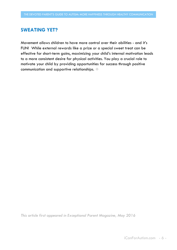### **SWEATING YET?**

Movement allows children to have more control over their abilities - and it's FUN! While external rewards like a prize or a special sweet treat can be effective for short-term gains, maximizing your child's internal motivation leads to a more consistent desire for physical activities. You play a crucial role to motivate your child by providing opportunities for success through positive communication and supportive relationships.

*This article first appeared in Exceptional Parent Magazine, May 2016*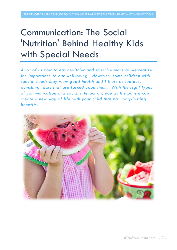# Communication: The Social 'Nutrition' Behind Healthy Kids with Special Needs

*A lot of us vow to eat healthier and exercise more as we realize the importance to our well-being. However, some children with special needs may view good health and fitness as tedious, punishing tasks that are forced upon them. With the right types of communication and social interaction, you as the parent can create a new way of life with your child that has long-lasting benefits.* 

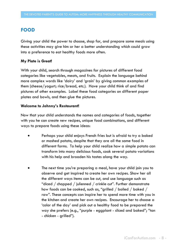## **FOOD**

Giving your child the power to choose, shop for, and prepare some meals using these activities may give him or her a better understanding which could grow into a preference to eat healthy foods more often.

#### **My Plate is Great!**

With your child, search through magazines for pictures of different food categories like vegetables, meats, and fruits. Explain the language behind more complex words like 'dairy' and 'grain' by giving common examples of them (cheese/yogurt; rice/bread, etc.). Have your child think of and find pictures of other examples. Label these food categories on different paper plates and bowls, and then glue the pictures.

#### **Welcome to Johnny's Restaurant!**

Now that your child understands the names and categories of foods, together with you he can create new recipes, unique food combinations, and different ways to prepare foods using these ideas:

- Perhaps your child enjoys French fries but is afraid to try a baked or mashed potato, despite that they are all the same food in different forms. To help your child realize how a simple potato can transform into many delicious foods, cook several potato variations with his help and broaden his tastes along the way.
- The next time you're preparing a meal, have your child join you to observe and get inspired to create her own recipes. Show her all the different ways items can be cut, and use language such as "diced / chopped / julienned / crinkle cut". Further demonstrate how foods can be cooked, such as, "grilled / boiled / baked / raw". These concepts can inspire her to spend more time with you in the kitchen and create her own recipes. Encourage her to choose a 'color of the day' and pick out a healthy food to be prepared the way she prefers (e.g., "purple - eggplant - sliced and baked"; "tan - chicken - grilled").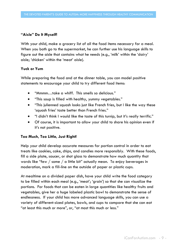#### **"Aisle" Do It Myself!**

With your child, make a grocery list of all the food items necessary for a meal. When you both go to the supermarket, he can further use his language skills to figure out the aisle that contains what he needs (e.g., 'milk' within the 'dairy' aisle; 'chicken' within the 'meat' aisle).

#### **Yuck or Yum**

While preparing the food and at the dinner table, you can model positive statements to encourage your child to try different food items:

- "Mmmm…take a whiff. This smells so delicious."
- "This soup is filled with healthy, yummy vegetables."
- "This julienned squash looks just like French fries, but I like the way these 'squash fries' taste better than French fries."
- "I didn't think I would like the taste of this turnip, but it's really terrific."
- Of course, it is important to allow your child to share his opinion even if it's not positive.

#### **Too Much, Too Little, Just Right!**

Help your child develop accurate measures for portion control in order to eat treats like cookies, cake, chips, and candies more responsibly. With these foods, fill a side plate, saucer, or shot glass to demonstrate how much quantity that words like "few / some / a little bit" actually mean. To enjoy beverages in moderation, mark a fill-line on the outside of paper or plastic cups.

At mealtime on a divided paper dish, have your child write the food category to be filled within each meal (e.g., 'meat'; 'grain') so that she can visualize the portions. For foods that can be eaten in large quantities like healthy fruits and vegetables, give her a huge labeled plastic bowl to demonstrate the sense of endlessness. If your child has more advanced language skills, you can use a variety of different-sized plates, bowls, and cups to compare that she can eat "at least this much or more", or, "at most this much or less."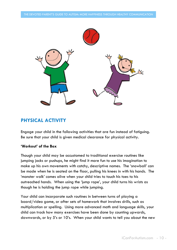

### **PHYSICAL ACTIVITY**

Engage your child in the following activities that are fun instead of fatiguing. Be sure that your child is given medical clearance for physical activity.

#### **'Workout' of the Box**

Though your child may be accustomed to traditional exercise routines like jumping jacks or pushups, he might find it more fun to use his imagination to make up his own movements with catchy, descriptive names. The 'snowball' can be made when he is seated on the floor, pulling his knees in with his hands. The 'monster walk' comes alive when your child tries to touch his toes to his outreached hands. When using the 'jump rope', your child turns his wrists as though he is holding the jump rope while jumping.

Your child can incorporate such routines in between turns of playing a board/video game, or after sets of homework that involves drills, such as multiplication or spelling. Using more advanced math and language skills, your child can track how many exercises have been done by counting upwards, downwards, or by 5's or 10's. When your child wants to tell you about the new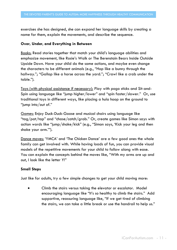exercises she has designed, she can expand her language skills by creating a name for them, explain the movements, and describe the sequence.

#### **Over, Under, and Everything in Between**

Books: Read stories together that match your child's language abilities and emphasize movement, like Rosie's Walk or The Berenstain Bears Inside Outside Upside Down. Have your child do the same actions, and maybe even change the characters to be different animals (e.g., "Hop like a bunny through the hallway."; "Gallop like a horse across the yard."; "Crawl like a crab under the table.").

Toys (with physical assistance if necessary): Play with pogo sticks and Sit-and-Spin using language like "jump higher/lower" and "spin faster/slower." Or, use traditional toys in different ways, like placing a hula hoop on the ground to "jump into/out of."

Games: Enjoy Duck-Duck-Goose and musical chairs using language like "tag/pat/tap" and "chase/catch/grab." Or, create games like Simon says with action words like "jump/shake/kick" (e.g., "Simon says, 'Kick your leg and then shake your arm.'").

Dance moves: 'YMCA' and 'The Chicken Dance' are a few good ones the whole family can get involved with. While having loads of fun, you can provide visual models of the repetitive movements for your child to follow along with ease. You can explain the concepts behind the moves like, "With my arms are up and out, I look like the letter Y!"

#### **Small Steps**

Just like for adults, try a few simple changes to get your child moving more:

 Climb the stairs versus taking the elevator or escalator. Model encouraging language like "It's so healthy to climb the stairs." Add supportive, reassuring language like, "If we get tired of climbing the stairs, we can take a little break or use the handrail to help us."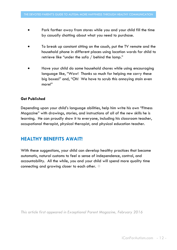- Park farther away from stores while you and your child fill the time by casually chatting about what you need to purchase.
- To break up constant sitting on the couch, put the TV remote and the household phone in different places using location words for child to retrieve like "under the sofa / behind the lamp."
- Have your child do some household chores while using encouraging language like, "Wow! Thanks so much for helping me carry these big boxes!" and, "Oh! We have to scrub this annoying stain even more!"

#### **Get Published**

Depending upon your child's language abilities, help him write his own "Fitness Magazine" with drawings, stories, and instructions of all of the new skills he is learning. He can proudly show it to everyone, including his classroom teacher, occupational therapist, physical therapist, and physical education teacher.

# **HEALTHY BENEFITS AWAIT!**

With these suggestions, your child can develop healthy practices that become automatic, natural customs to feel a sense of independence, control, and accountability. All the while, you and your child will spend more quality time connecting and growing closer to each other.

*This article first appeared in Exceptional Parent Magazine, February 2016*